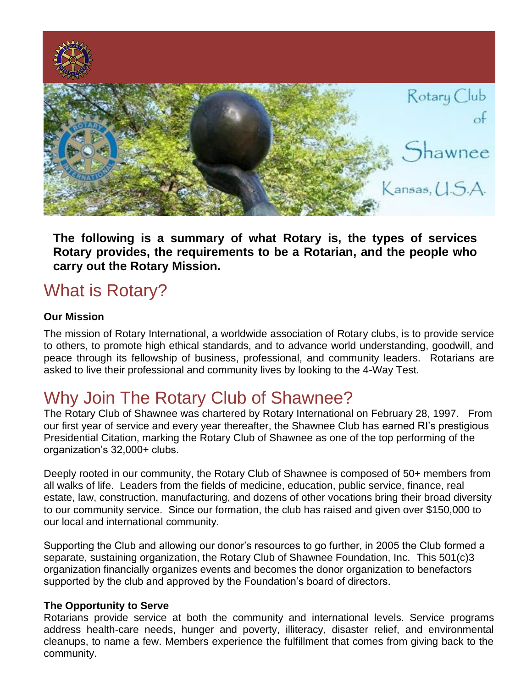

**The following is a summary of what Rotary is, the types of services Rotary provides, the requirements to be a Rotarian, and the people who carry out the Rotary Mission.**

# What is Rotary?

# **Our Mission**

The mission of Rotary International, a worldwide association of Rotary clubs, is to provide service to others, to promote high ethical standards, and to advance world understanding, goodwill, and peace through its fellowship of business, professional, and community leaders. Rotarians are asked to live their professional and community lives by looking to the 4-Way Test.

# Why Join The Rotary Club of Shawnee?

The Rotary Club of Shawnee was chartered by Rotary International on February 28, 1997. From our first year of service and every year thereafter, the Shawnee Club has earned RI's prestigious Presidential Citation, marking the Rotary Club of Shawnee as one of the top performing of the organization's 32,000+ clubs.

Deeply rooted in our community, the Rotary Club of Shawnee is composed of 50+ members from all walks of life. Leaders from the fields of medicine, education, public service, finance, real estate, law, construction, manufacturing, and dozens of other vocations bring their broad diversity to our community service. Since our formation, the club has raised and given over \$150,000 to our local and international community.

Supporting the Club and allowing our donor's resources to go further, in 2005 the Club formed a separate, sustaining organization, the Rotary Club of Shawnee Foundation, Inc. This 501(c)3 organization financially organizes events and becomes the donor organization to benefactors supported by the club and approved by the Foundation's board of directors.

# **The Opportunity to Serve**

Rotarians provide service at both the community and international levels. Service programs address health-care needs, hunger and poverty, illiteracy, disaster relief, and environmental cleanups, to name a few. Members experience the fulfillment that comes from giving back to the community.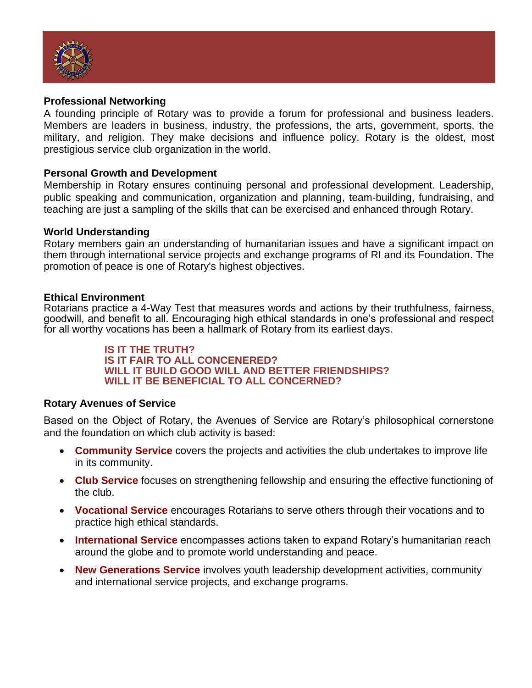

#### **Professional Networking**

A founding principle of Rotary was to provide a forum for professional and business leaders. Members are leaders in business, industry, the professions, the arts, government, sports, the military, and religion. They make decisions and influence policy. Rotary is the oldest, most prestigious service club organization in the world.

#### **Personal Growth and Development**

Membership in Rotary ensures continuing personal and professional development. Leadership, public speaking and communication, organization and planning, team-building, fundraising, and teaching are just a sampling of the skills that can be exercised and enhanced through Rotary.

#### **World Understanding**

Rotary members gain an understanding of humanitarian issues and have a significant impact on them through international service projects and exchange programs of RI and its Foundation. The promotion of peace is one of Rotary's highest objectives.

#### **Ethical Environment**

Rotarians practice a 4-Way Test that measures words and actions by their truthfulness, fairness, goodwill, and benefit to all. Encouraging high ethical standards in one's professional and respect for all worthy vocations has been a hallmark of Rotary from its earliest days.

> **IS IT THE TRUTH? IS IT FAIR TO ALL CONCENERED? WILL IT BUILD GOOD WILL AND BETTER FRIENDSHIPS? WILL IT BE BENEFICIAL TO ALL CONCERNED?**

# **Rotary Avenues of Service**

Based on the Object of Rotary, the Avenues of Service are Rotary's philosophical cornerstone and the foundation on which club activity is based:

- **Community Service** covers the projects and activities the club undertakes to improve life in its community.
- **Club Service** focuses on strengthening fellowship and ensuring the effective functioning of the club.
- **Vocational Service** encourages Rotarians to serve others through their vocations and to practice high ethical standards.
- **International Service** encompasses actions taken to expand Rotary's humanitarian reach around the globe and to promote world understanding and peace.
- **New Generations Service** involves youth leadership development activities, community and international service projects, and exchange programs.